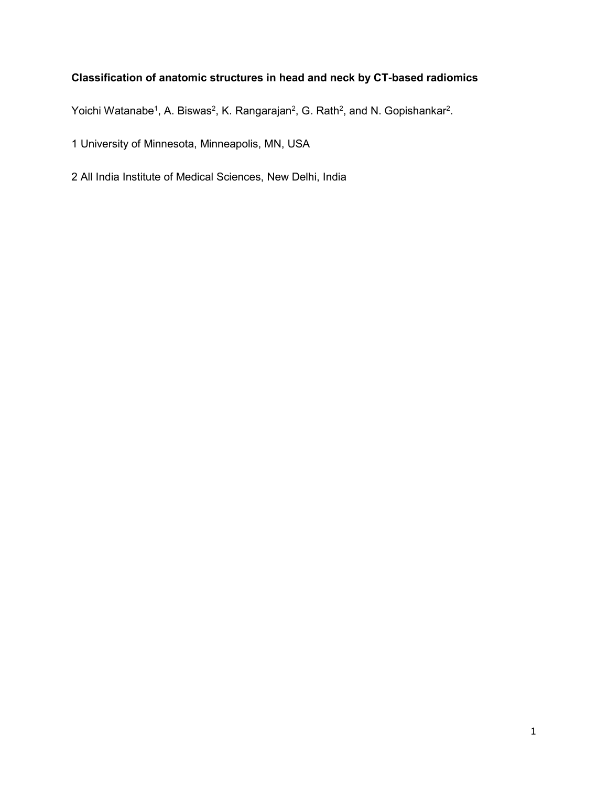# **Classification of anatomic structures in head and neck by CT-based radiomics**

Yoichi Watanabe $^1$ , A. Biswas $^2$ , K. Rangarajan $^2$ , G. Rath $^2$ , and N. Gopishankar $^2$ .

1 University of Minnesota, Minneapolis, MN, USA

2 All India Institute of Medical Sciences, New Delhi, India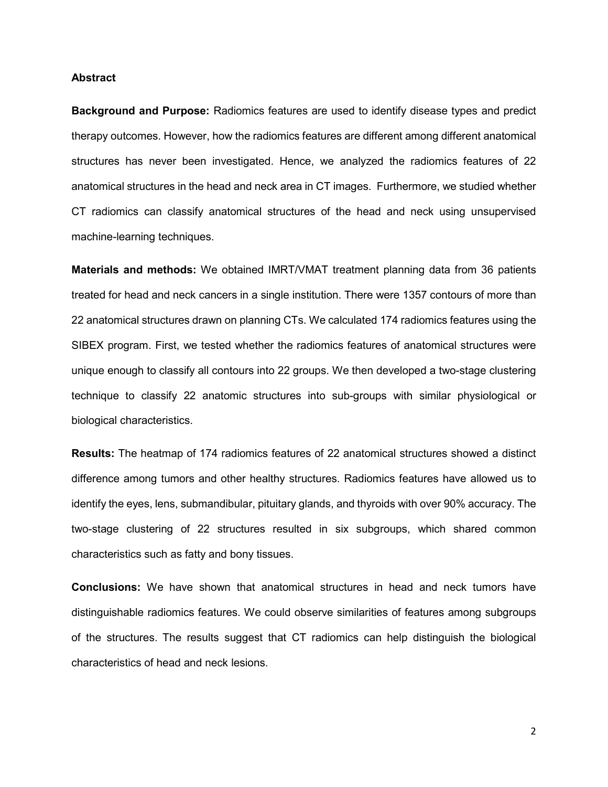#### **Abstract**

**Background and Purpose:** Radiomics features are used to identify disease types and predict therapy outcomes. However, how the radiomics features are different among different anatomical structures has never been investigated. Hence, we analyzed the radiomics features of 22 anatomical structures in the head and neck area in CT images. Furthermore, we studied whether CT radiomics can classify anatomical structures of the head and neck using unsupervised machine-learning techniques.

**Materials and methods:** We obtained IMRT/VMAT treatment planning data from 36 patients treated for head and neck cancers in a single institution. There were 1357 contours of more than 22 anatomical structures drawn on planning CTs. We calculated 174 radiomics features using the SIBEX program. First, we tested whether the radiomics features of anatomical structures were unique enough to classify all contours into 22 groups. We then developed a two-stage clustering technique to classify 22 anatomic structures into sub-groups with similar physiological or biological characteristics.

**Results:** The heatmap of 174 radiomics features of 22 anatomical structures showed a distinct difference among tumors and other healthy structures. Radiomics features have allowed us to identify the eyes, lens, submandibular, pituitary glands, and thyroids with over 90% accuracy. The two-stage clustering of 22 structures resulted in six subgroups, which shared common characteristics such as fatty and bony tissues.

**Conclusions:** We have shown that anatomical structures in head and neck tumors have distinguishable radiomics features. We could observe similarities of features among subgroups of the structures. The results suggest that CT radiomics can help distinguish the biological characteristics of head and neck lesions.

2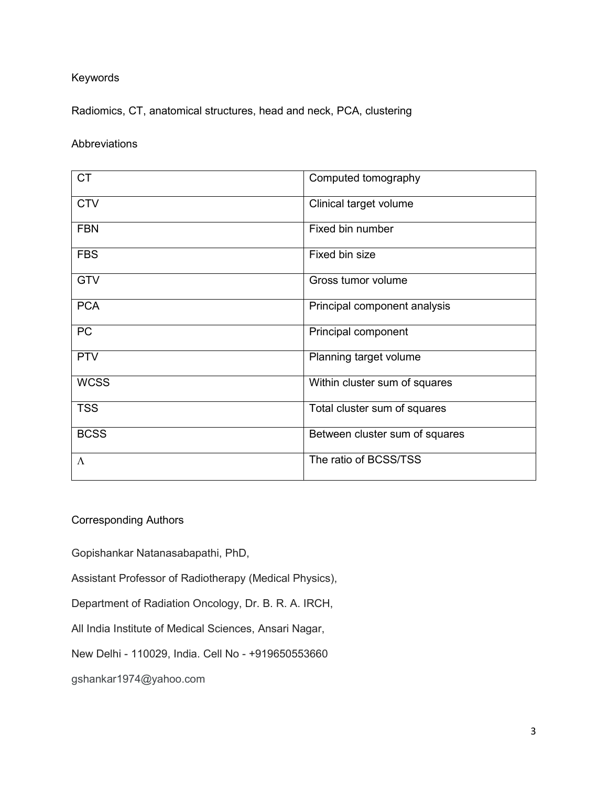# Keywords

Radiomics, CT, anatomical structures, head and neck, PCA, clustering

# Abbreviations

| <b>CT</b>   | Computed tomography            |  |
|-------------|--------------------------------|--|
| <b>CTV</b>  | Clinical target volume         |  |
| <b>FBN</b>  | Fixed bin number               |  |
| <b>FBS</b>  | Fixed bin size                 |  |
| <b>GTV</b>  | Gross tumor volume             |  |
| <b>PCA</b>  | Principal component analysis   |  |
| <b>PC</b>   | Principal component            |  |
| <b>PTV</b>  | Planning target volume         |  |
| <b>WCSS</b> | Within cluster sum of squares  |  |
| <b>TSS</b>  | Total cluster sum of squares   |  |
| <b>BCSS</b> | Between cluster sum of squares |  |
| $\Lambda$   | The ratio of BCSS/TSS          |  |

# Corresponding Authors

Gopishankar Natanasabapathi, PhD,

Assistant Professor of Radiotherapy (Medical Physics),

Department of Radiation Oncology, Dr. B. R. A. IRCH,

All India Institute of Medical Sciences, Ansari Nagar,

New Delhi - 110029, India. Cell No - +919650553660

[gshankar1974@yahoo.com](mailto:gshankar1974@yahoo.com)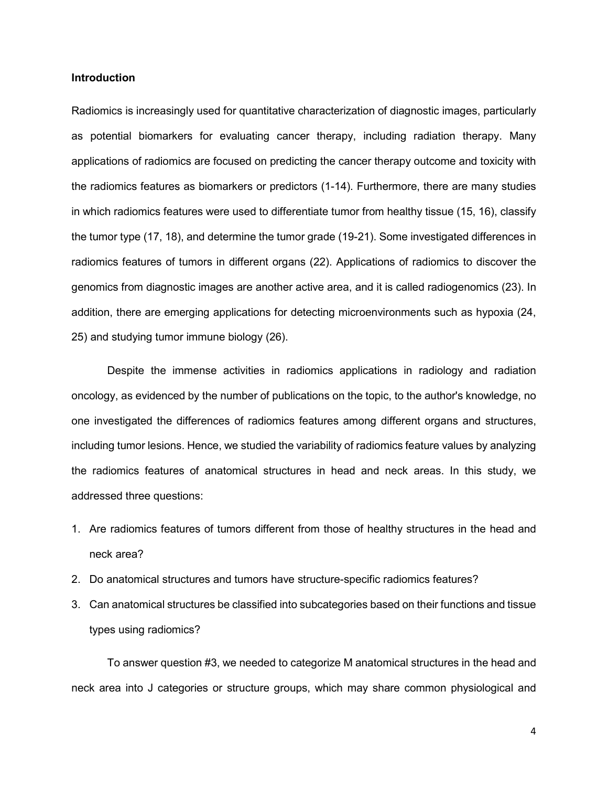#### **Introduction**

Radiomics is increasingly used for quantitative characterization of diagnostic images, particularly as potential biomarkers for evaluating cancer therapy, including radiation therapy. Many applications of radiomics are focused on predicting the cancer therapy outcome and toxicity with the radiomics features as biomarkers or predictors (1-14). Furthermore, there are many studies in which radiomics features were used to differentiate tumor from healthy tissue (15, 16), classify the tumor type (17, 18), and determine the tumor grade (19-21). Some investigated differences in radiomics features of tumors in different organs (22). Applications of radiomics to discover the genomics from diagnostic images are another active area, and it is called radiogenomics (23). In addition, there are emerging applications for detecting microenvironments such as hypoxia (24, 25) and studying tumor immune biology (26).

Despite the immense activities in radiomics applications in radiology and radiation oncology, as evidenced by the number of publications on the topic, to the author's knowledge, no one investigated the differences of radiomics features among different organs and structures, including tumor lesions. Hence, we studied the variability of radiomics feature values by analyzing the radiomics features of anatomical structures in head and neck areas. In this study, we addressed three questions:

- 1. Are radiomics features of tumors different from those of healthy structures in the head and neck area?
- 2. Do anatomical structures and tumors have structure-specific radiomics features?
- 3. Can anatomical structures be classified into subcategories based on their functions and tissue types using radiomics?

To answer question #3, we needed to categorize M anatomical structures in the head and neck area into J categories or structure groups, which may share common physiological and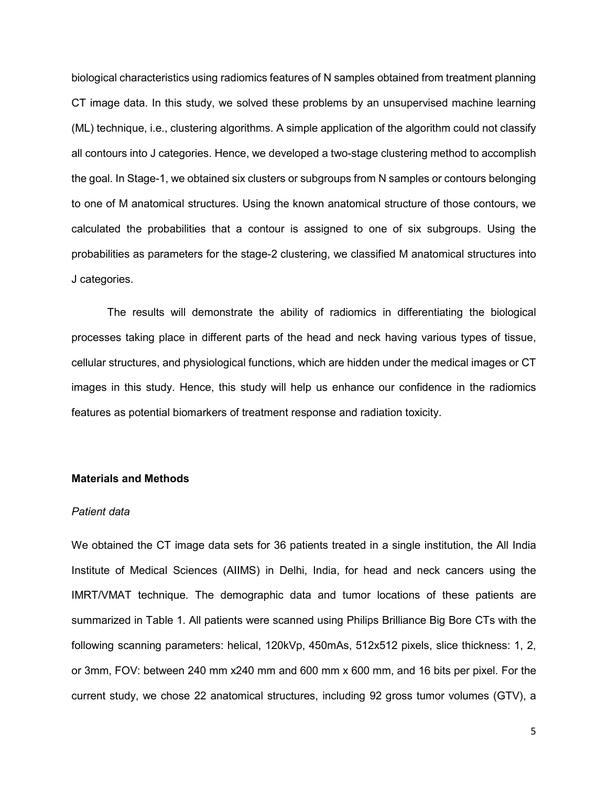biological characteristics using radiomics features of N samples obtained from treatment planning CT image data. In this study, we solved these problems by an unsupervised machine learning (ML) technique, i.e., clustering algorithms. A simple application of the algorithm could not classify all contours into J categories. Hence, we developed a two-stage clustering method to accomplish the goal. In Stage-1, we obtained six clusters or subgroups from N samples or contours belonging to one of M anatomical structures. Using the known anatomical structure of those contours, we calculated the probabilities that a contour is assigned to one of six subgroups. Using the probabilities as parameters for the stage-2 clustering, we classified M anatomical structures into J categories.

The results will demonstrate the ability of radiomics in differentiating the biological processes taking place in different parts of the head and neck having various types of tissue, cellular structures, and physiological functions, which are hidden under the medical images or CT images in this study. Hence, this study will help us enhance our confidence in the radiomics features as potential biomarkers of treatment response and radiation toxicity.

### **Materials and Methods**

#### *Patient data*

We obtained the CT image data sets for 36 patients treated in a single institution, the All India Institute of Medical Sciences (AIIMS) in Delhi, India, for head and neck cancers using the IMRT/VMAT technique. The demographic data and tumor locations of these patients are summarized in Table 1. All patients were scanned using Philips Brilliance Big Bore CTs with the following scanning parameters: helical, 120kVp, 450mAs, 512x512 pixels, slice thickness: 1, 2, or 3mm, FOV: between 240 mm x240 mm and 600 mm x 600 mm, and 16 bits per pixel. For the current study, we chose 22 anatomical structures, including 92 gross tumor volumes (GTV), a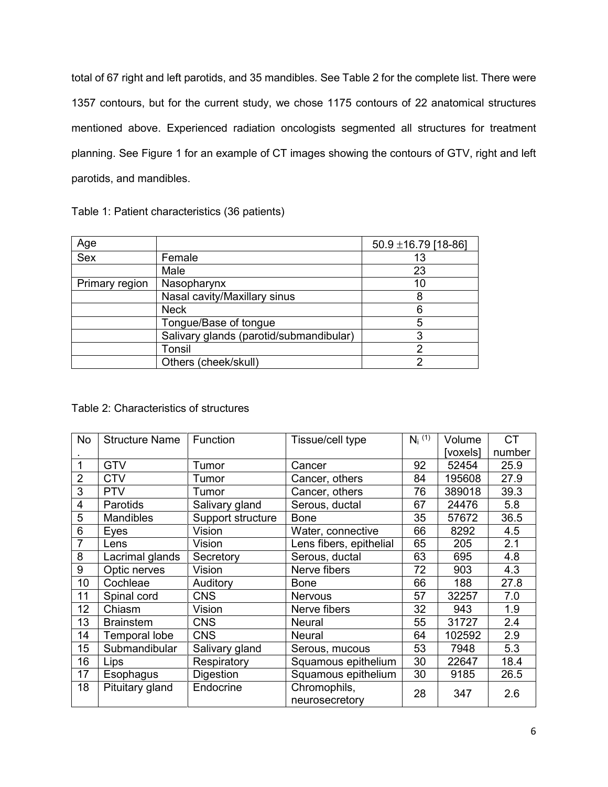total of 67 right and left parotids, and 35 mandibles. See Table 2 for the complete list. There were 1357 contours, but for the current study, we chose 1175 contours of 22 anatomical structures mentioned above. Experienced radiation oncologists segmented all structures for treatment planning. See Figure 1 for an example of CT images showing the contours of GTV, right and left parotids, and mandibles.

| Age            |                                         | 50.9 ±16.79 [18-86] |
|----------------|-----------------------------------------|---------------------|
| <b>Sex</b>     | Female                                  | 13                  |
|                | Male                                    | 23                  |
| Primary region | Nasopharynx                             | 10                  |
|                | Nasal cavity/Maxillary sinus            | 8                   |
|                | <b>Neck</b>                             | 6                   |
|                | Tongue/Base of tongue                   | 5                   |
|                | Salivary glands (parotid/submandibular) | 3                   |
|                | Tonsil                                  | 2                   |
|                | Others (cheek/skull)                    |                     |

Table 2: Characteristics of structures

| <b>No</b>      | <b>Structure Name</b> | Function          | Tissue/cell type               | $N_i^{(1)}$ | Volume   | <b>CT</b> |
|----------------|-----------------------|-------------------|--------------------------------|-------------|----------|-----------|
|                |                       |                   |                                |             | [voxels] | number    |
| 1              | <b>GTV</b>            | Tumor             | Cancer                         | 92          | 52454    | 25.9      |
| $\overline{2}$ | <b>CTV</b>            | Tumor             | Cancer, others                 | 84          | 195608   | 27.9      |
| 3              | <b>PTV</b>            | Tumor             | Cancer, others                 | 76          | 389018   | 39.3      |
| 4              | Parotids              | Salivary gland    | Serous, ductal                 | 67          | 24476    | 5.8       |
| 5              | <b>Mandibles</b>      | Support structure | <b>Bone</b>                    | 35          | 57672    | 36.5      |
| 6              | Eyes                  | Vision            | Water, connective              | 66          | 8292     | 4.5       |
| $\overline{7}$ | Lens                  | Vision            | Lens fibers, epithelial        | 65          | 205      | 2.1       |
| 8              | Lacrimal glands       | Secretory         | Serous, ductal                 | 63          | 695      | 4.8       |
| 9              | Optic nerves          | Vision            | Nerve fibers                   | 72          | 903      | 4.3       |
| 10             | Cochleae              | Auditory          | <b>Bone</b>                    | 66          | 188      | 27.8      |
| 11             | Spinal cord           | <b>CNS</b>        | <b>Nervous</b>                 | 57          | 32257    | 7.0       |
| 12             | Chiasm                | Vision            | Nerve fibers                   | 32          | 943      | 1.9       |
| 13             | <b>Brainstem</b>      | <b>CNS</b>        | <b>Neural</b>                  | 55          | 31727    | 2.4       |
| 14             | Temporal lobe         | <b>CNS</b>        | Neural                         | 64          | 102592   | 2.9       |
| 15             | Submandibular         | Salivary gland    | Serous, mucous                 | 53          | 7948     | 5.3       |
| 16             | Lips                  | Respiratory       | Squamous epithelium            | 30          | 22647    | 18.4      |
| 17             | Esophagus             | Digestion         | Squamous epithelium            | 30          | 9185     | 26.5      |
| 18             | Pituitary gland       | Endocrine         | Chromophils,<br>neurosecretory | 28          | 347      | 2.6       |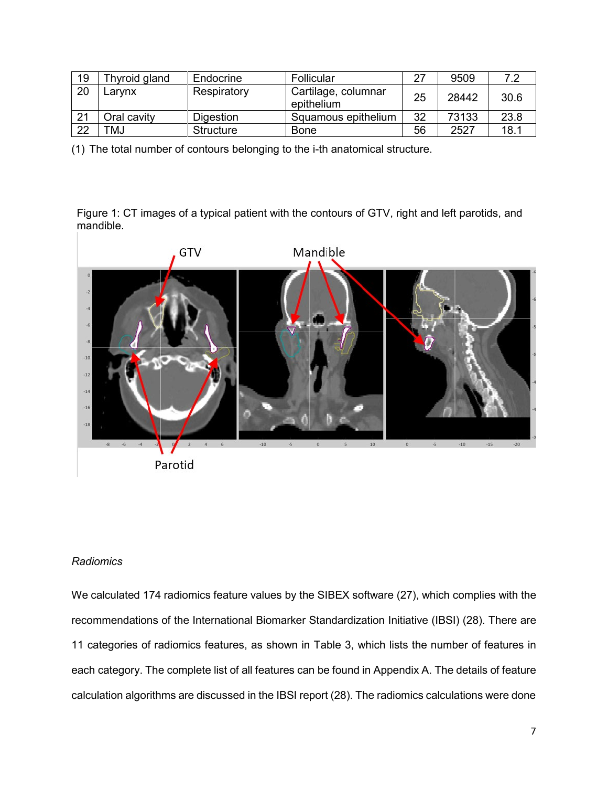| 19             | Thyroid gland | Endocrine        | Follicular                        | っっ | 9509  |      |
|----------------|---------------|------------------|-----------------------------------|----|-------|------|
| 20             | _arvnx        | Respiratory      | Cartilage, columnar<br>epithelium | 25 | 28442 | 30.6 |
| 2 <sup>1</sup> | Oral cavity   | <b>Digestion</b> | Squamous epithelium               | 32 | 73133 | 23.8 |
| 22             | TMJ           | <b>Structure</b> | <b>Bone</b>                       | 56 | 2527  | 18.1 |

(1) The total number of contours belonging to the i-th anatomical structure.

Figure 1: CT images of a typical patient with the contours of GTV, right and left parotids, and mandible.



### *Radiomics*

We calculated 174 radiomics feature values by the SIBEX software (27), which complies with the recommendations of the International Biomarker Standardization Initiative (IBSI) (28). There are 11 categories of radiomics features, as shown in Table 3, which lists the number of features in each category. The complete list of all features can be found in Appendix A. The details of feature calculation algorithms are discussed in the IBSI report (28). The radiomics calculations were done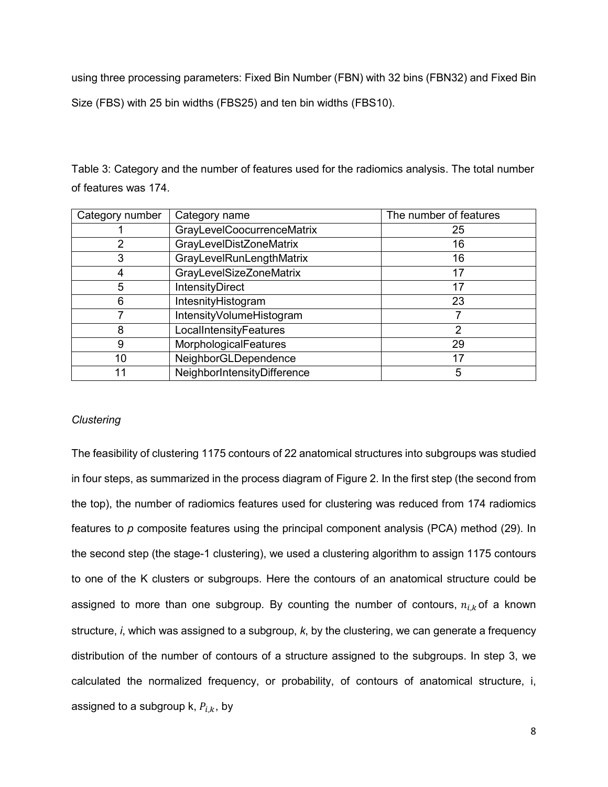using three processing parameters: Fixed Bin Number (FBN) with 32 bins (FBN32) and Fixed Bin Size (FBS) with 25 bin widths (FBS25) and ten bin widths (FBS10).

Table 3: Category and the number of features used for the radiomics analysis. The total number of features was 174.

| Category number | Category name                     | The number of features |
|-----------------|-----------------------------------|------------------------|
|                 | <b>GrayLevelCoocurrenceMatrix</b> | 25                     |
|                 | <b>GrayLevelDistZoneMatrix</b>    | 16                     |
| 3               | GrayLevelRunLengthMatrix          | 16                     |
|                 | GrayLevelSizeZoneMatrix           | 17                     |
| 5               | IntensityDirect                   | 17                     |
| 6               | IntesnityHistogram                | 23                     |
|                 | IntensityVolumeHistogram          |                        |
| 8               | LocalIntensityFeatures            | 2                      |
| 9               | MorphologicalFeatures             | 29                     |
| 10              | NeighborGLDependence              | 17                     |
| 11              | NeighborIntensityDifference       | 5                      |

## *Clustering*

The feasibility of clustering 1175 contours of 22 anatomical structures into subgroups was studied in four steps, as summarized in the process diagram of Figure 2. In the first step (the second from the top), the number of radiomics features used for clustering was reduced from 174 radiomics features to *p* composite features using the principal component analysis (PCA) method (29). In the second step (the stage-1 clustering), we used a clustering algorithm to assign 1175 contours to one of the K clusters or subgroups. Here the contours of an anatomical structure could be assigned to more than one subgroup. By counting the number of contours,  $n_{i,k}$  of a known structure, *i*, which was assigned to a subgroup, *k*, by the clustering, we can generate a frequency distribution of the number of contours of a structure assigned to the subgroups. In step 3, we calculated the normalized frequency, or probability, of contours of anatomical structure, i, assigned to a subgroup k,  $P_{i,k}$ , by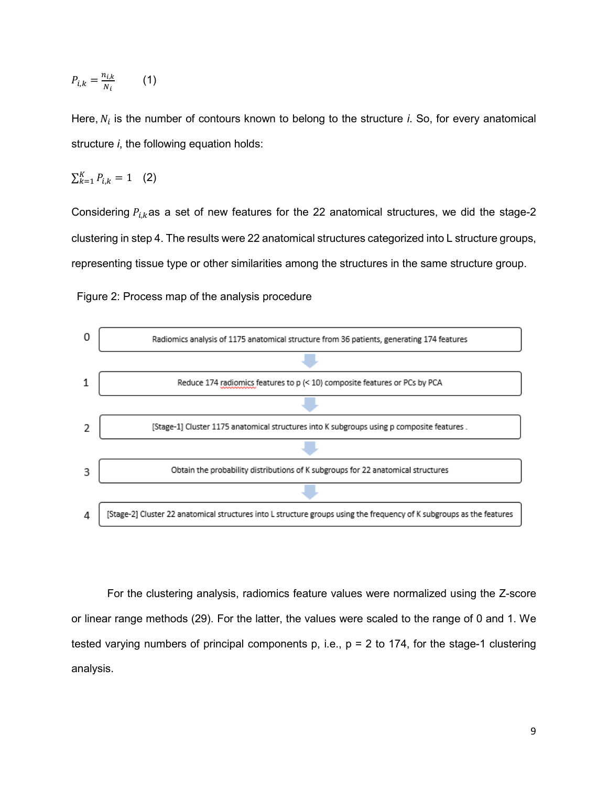$$
P_{i,k} = \frac{n_{i,k}}{N_i} \tag{1}
$$

Here,  $N_i$  is the number of contours known to belong to the structure *i*. So, for every anatomical structure *i*, the following equation holds:

$$
\sum_{k=1}^K P_{i,k} = 1 \quad (2)
$$

Considering  $P_{i,k}$ as a set of new features for the 22 anatomical structures, we did the stage-2 clustering in step 4. The results were 22 anatomical structures categorized into L structure groups, representing tissue type or other similarities among the structures in the same structure group.

Figure 2: Process map of the analysis procedure



For the clustering analysis, radiomics feature values were normalized using the Z-score or linear range methods (29). For the latter, the values were scaled to the range of 0 and 1. We tested varying numbers of principal components p, i.e., p = 2 to 174, for the stage-1 clustering analysis.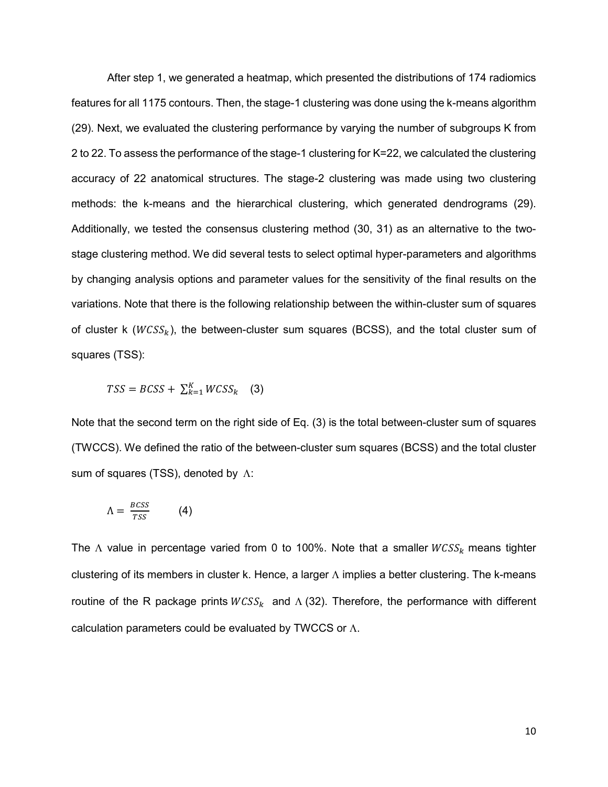After step 1, we generated a heatmap, which presented the distributions of 174 radiomics features for all 1175 contours. Then, the stage-1 clustering was done using the k-means algorithm (29). Next, we evaluated the clustering performance by varying the number of subgroups K from 2 to 22. To assess the performance of the stage-1 clustering for K=22, we calculated the clustering accuracy of 22 anatomical structures. The stage-2 clustering was made using two clustering methods: the k-means and the hierarchical clustering, which generated dendrograms (29). Additionally, we tested the consensus clustering method (30, 31) as an alternative to the twostage clustering method. We did several tests to select optimal hyper-parameters and algorithms by changing analysis options and parameter values for the sensitivity of the final results on the variations. Note that there is the following relationship between the within-cluster sum of squares of cluster k ( $WCSS_k$ ), the between-cluster sum squares (BCSS), and the total cluster sum of squares (TSS):

$$
TSS = BCSS + \sum_{k=1}^{K} WCSS_k \quad (3)
$$

Note that the second term on the right side of Eq. (3) is the total between-cluster sum of squares (TWCCS). We defined the ratio of the between-cluster sum squares (BCSS) and the total cluster sum of squares (TSS), denoted by Λ:

$$
\Lambda = \frac{BCSS}{TSS} \qquad (4)
$$

The  $\Lambda$  value in percentage varied from 0 to 100%. Note that a smaller  $WCSS_k$  means tighter clustering of its members in cluster k. Hence, a larger  $\Lambda$  implies a better clustering. The k-means routine of the R package prints  $WCSS_k$  and  $\Lambda$  (32). Therefore, the performance with different calculation parameters could be evaluated by TWCCS or Λ.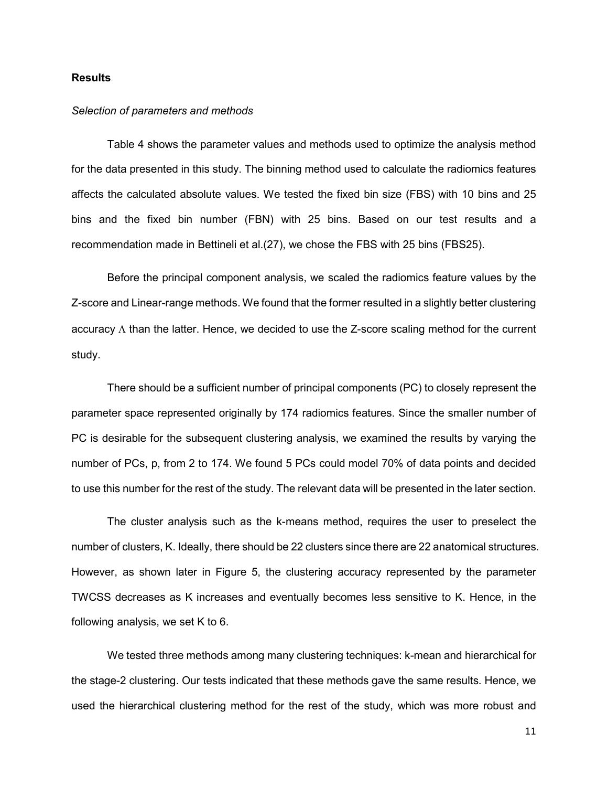### **Results**

#### *Selection of parameters and methods*

Table 4 shows the parameter values and methods used to optimize the analysis method for the data presented in this study. The binning method used to calculate the radiomics features affects the calculated absolute values. We tested the fixed bin size (FBS) with 10 bins and 25 bins and the fixed bin number (FBN) with 25 bins. Based on our test results and a recommendation made in Bettineli et al.(27), we chose the FBS with 25 bins (FBS25).

Before the principal component analysis, we scaled the radiomics feature values by the Z-score and Linear-range methods. We found that the former resulted in a slightly better clustering accuracy Λ than the latter. Hence, we decided to use the Z-score scaling method for the current study.

There should be a sufficient number of principal components (PC) to closely represent the parameter space represented originally by 174 radiomics features. Since the smaller number of PC is desirable for the subsequent clustering analysis, we examined the results by varying the number of PCs, p, from 2 to 174. We found 5 PCs could model 70% of data points and decided to use this number for the rest of the study. The relevant data will be presented in the later section.

The cluster analysis such as the k-means method, requires the user to preselect the number of clusters, K. Ideally, there should be 22 clusters since there are 22 anatomical structures. However, as shown later in Figure 5, the clustering accuracy represented by the parameter TWCSS decreases as K increases and eventually becomes less sensitive to K. Hence, in the following analysis, we set K to 6.

We tested three methods among many clustering techniques: k-mean and hierarchical for the stage-2 clustering. Our tests indicated that these methods gave the same results. Hence, we used the hierarchical clustering method for the rest of the study, which was more robust and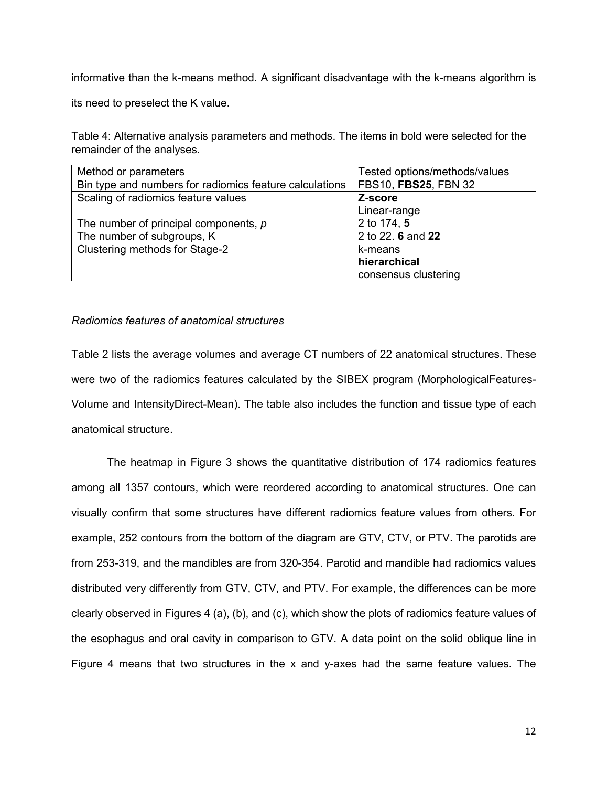informative than the k-means method. A significant disadvantage with the k-means algorithm is

its need to preselect the K value.

Table 4: Alternative analysis parameters and methods. The items in bold were selected for the remainder of the analyses.

| Method or parameters                                    | Tested options/methods/values |
|---------------------------------------------------------|-------------------------------|
| Bin type and numbers for radiomics feature calculations | FBS10, FBS25, FBN 32          |
| Scaling of radiomics feature values                     | Z-score                       |
|                                                         | Linear-range                  |
| The number of principal components, $p$                 | 2 to 174, 5                   |
| The number of subgroups, K                              | 2 to 22. 6 and 22             |
| Clustering methods for Stage-2                          | k-means                       |
|                                                         | hierarchical                  |
|                                                         | consensus clustering          |

## *Radiomics features of anatomical structures*

Table 2 lists the average volumes and average CT numbers of 22 anatomical structures. These were two of the radiomics features calculated by the SIBEX program (MorphologicalFeatures-Volume and IntensityDirect-Mean). The table also includes the function and tissue type of each anatomical structure.

The heatmap in Figure 3 shows the quantitative distribution of 174 radiomics features among all 1357 contours, which were reordered according to anatomical structures. One can visually confirm that some structures have different radiomics feature values from others. For example, 252 contours from the bottom of the diagram are GTV, CTV, or PTV. The parotids are from 253-319, and the mandibles are from 320-354. Parotid and mandible had radiomics values distributed very differently from GTV, CTV, and PTV. For example, the differences can be more clearly observed in Figures 4 (a), (b), and (c), which show the plots of radiomics feature values of the esophagus and oral cavity in comparison to GTV. A data point on the solid oblique line in Figure 4 means that two structures in the x and y-axes had the same feature values. The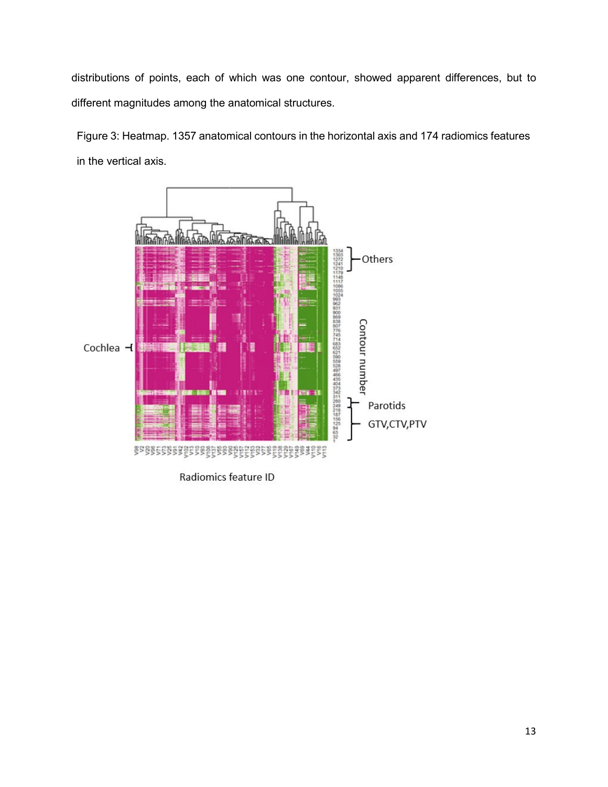distributions of points, each of which was one contour, showed apparent differences, but to different magnitudes among the anatomical structures.

Figure 3: Heatmap. 1357 anatomical contours in the horizontal axis and 174 radiomics features in the vertical axis.



Radiomics feature ID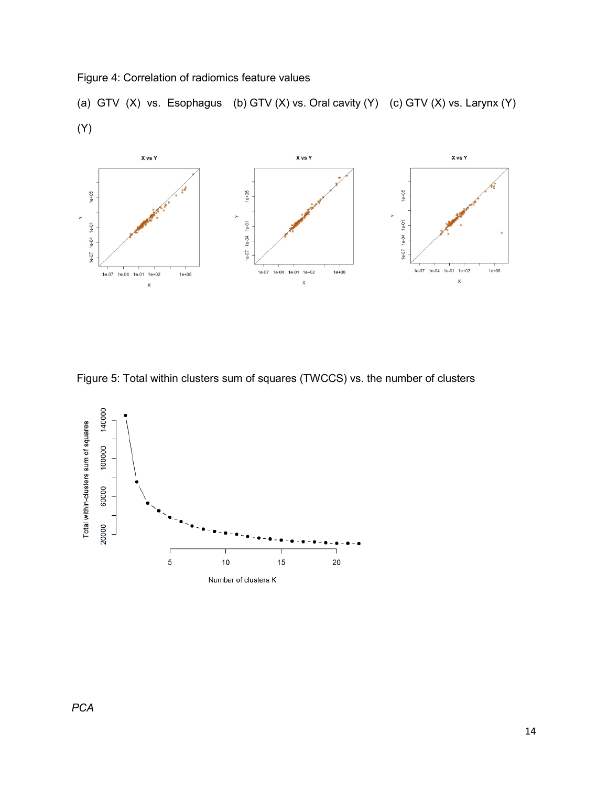

(a) GTV (X) vs. Esophagus (b) GTV (X) vs. Oral cavity (Y) (c) GTV (X) vs. Larynx (Y) (Y)



Figure 5: Total within clusters sum of squares (TWCCS) vs. the number of clusters

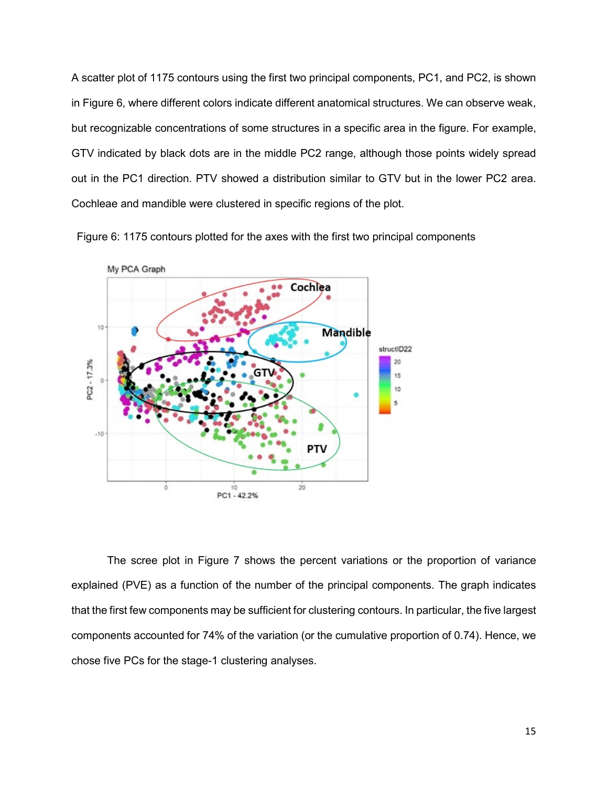A scatter plot of 1175 contours using the first two principal components, PC1, and PC2, is shown in Figure 6, where different colors indicate different anatomical structures. We can observe weak, but recognizable concentrations of some structures in a specific area in the figure. For example, GTV indicated by black dots are in the middle PC2 range, although those points widely spread out in the PC1 direction. PTV showed a distribution similar to GTV but in the lower PC2 area. Cochleae and mandible were clustered in specific regions of the plot.

Figure 6: 1175 contours plotted for the axes with the first two principal components



The scree plot in Figure 7 shows the percent variations or the proportion of variance explained (PVE) as a function of the number of the principal components. The graph indicates that the first few components may be sufficient for clustering contours. In particular, the five largest components accounted for 74% of the variation (or the cumulative proportion of 0.74). Hence, we chose five PCs for the stage-1 clustering analyses.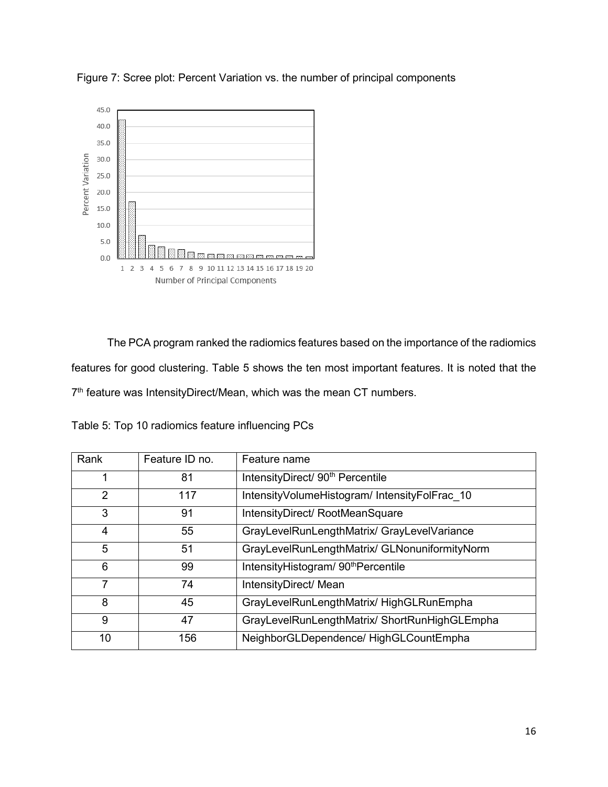

Figure 7: Scree plot: Percent Variation vs. the number of principal components

The PCA program ranked the radiomics features based on the importance of the radiomics features for good clustering. Table 5 shows the ten most important features. It is noted that the 7<sup>th</sup> feature was IntensityDirect/Mean, which was the mean CT numbers.

| Rank | Feature ID no. | Feature name                                    |
|------|----------------|-------------------------------------------------|
|      | 81             | IntensityDirect/ 90 <sup>th</sup> Percentile    |
| 2    | 117            | IntensityVolumeHistogram/ IntensityFolFrac 10   |
| 3    | 91             | IntensityDirect/ RootMeanSquare                 |
| 4    | 55             | GrayLevelRunLengthMatrix/ GrayLevelVariance     |
| 5    | 51             | GrayLevelRunLengthMatrix/ GLNonuniformityNorm   |
| 6    | 99             | IntensityHistogram/ 90 <sup>th</sup> Percentile |
| 7    | 74             | IntensityDirect/ Mean                           |
| 8    | 45             | GrayLevelRunLengthMatrix/ HighGLRunEmpha        |
| 9    | 47             | GrayLevelRunLengthMatrix/ ShortRunHighGLEmpha   |
| 10   | 156            | NeighborGLDependence/ HighGLCountEmpha          |

Table 5: Top 10 radiomics feature influencing PCs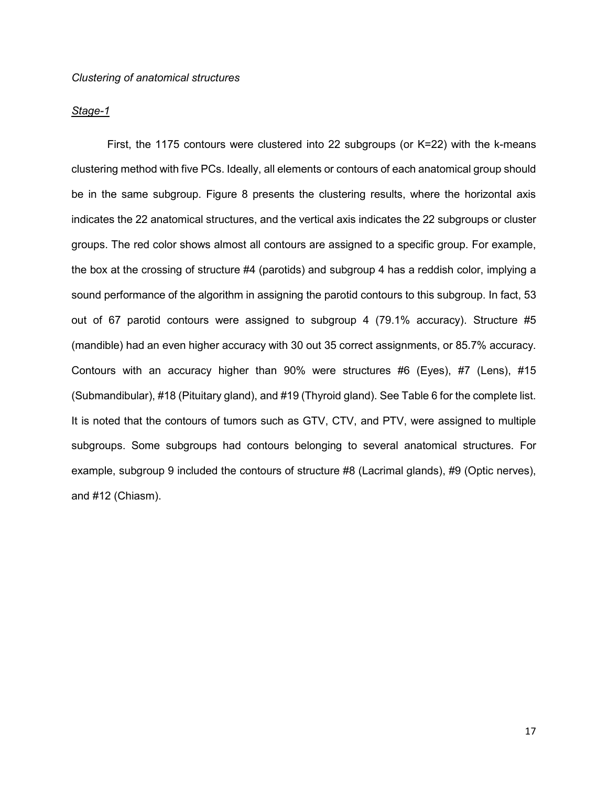#### *Stage-1*

First, the 1175 contours were clustered into 22 subgroups (or K=22) with the k-means clustering method with five PCs. Ideally, all elements or contours of each anatomical group should be in the same subgroup. Figure 8 presents the clustering results, where the horizontal axis indicates the 22 anatomical structures, and the vertical axis indicates the 22 subgroups or cluster groups. The red color shows almost all contours are assigned to a specific group. For example, the box at the crossing of structure #4 (parotids) and subgroup 4 has a reddish color, implying a sound performance of the algorithm in assigning the parotid contours to this subgroup. In fact, 53 out of 67 parotid contours were assigned to subgroup 4 (79.1% accuracy). Structure #5 (mandible) had an even higher accuracy with 30 out 35 correct assignments, or 85.7% accuracy. Contours with an accuracy higher than 90% were structures #6 (Eyes), #7 (Lens), #15 (Submandibular), #18 (Pituitary gland), and #19 (Thyroid gland). See Table 6 for the complete list. It is noted that the contours of tumors such as GTV, CTV, and PTV, were assigned to multiple subgroups. Some subgroups had contours belonging to several anatomical structures. For example, subgroup 9 included the contours of structure #8 (Lacrimal glands), #9 (Optic nerves), and #12 (Chiasm).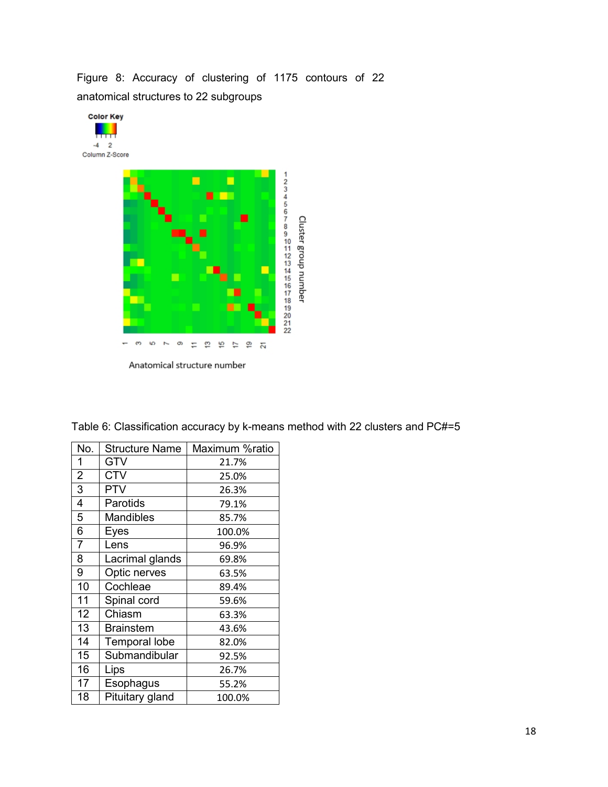Figure 8: Accuracy of clustering of 1175 contours of 22 anatomical structures to 22 subgroups



| No.            | <b>Structure Name</b> | Maximum %ratio |
|----------------|-----------------------|----------------|
| 1              | <b>GTV</b>            | 21.7%          |
| $\overline{2}$ | CTV                   | 25.0%          |
| 3              | <b>PTV</b>            | 26.3%          |
| 4              | Parotids              | 79.1%          |
| 5              | Mandibles             | 85.7%          |
| 6              | Eyes                  | 100.0%         |
| 7              | Lens                  | 96.9%          |
| 8              | Lacrimal glands       | 69.8%          |
| 9              | Optic nerves          | 63.5%          |
| 10             | Cochleae              | 89.4%          |
| 11             | Spinal cord           | 59.6%          |
| 12             | Chiasm                | 63.3%          |
| 13             | <b>Brainstem</b>      | 43.6%          |
| 14             | Temporal lobe         | 82.0%          |
| 15             | Submandibular         | 92.5%          |
| 16             | Lips                  | 26.7%          |
| 17             | Esophagus             | 55.2%          |
| 18             | Pituitary gland       | 100.0%         |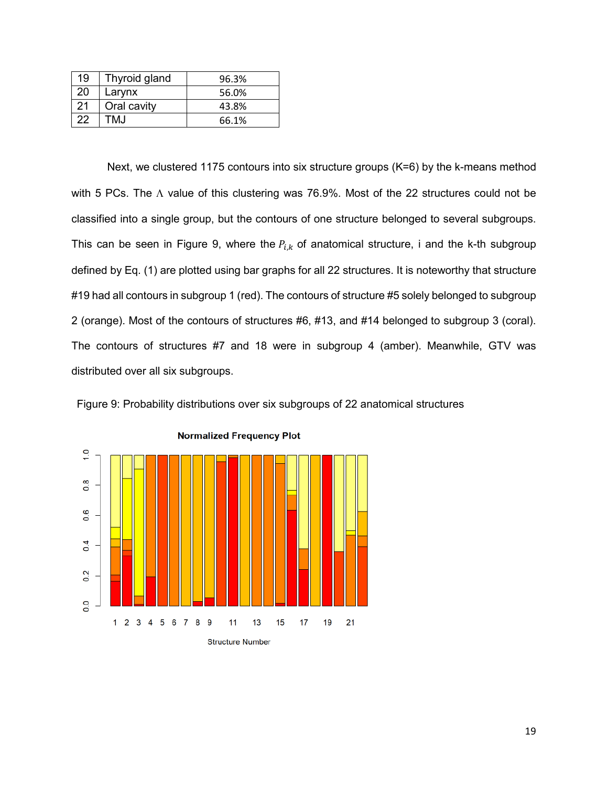| 19 | Thyroid gland | 96.3% |
|----|---------------|-------|
| 20 | Larynx        | 56.0% |
| 21 | Oral cavity   | 43.8% |
| 22 | TMJ           | 66.1% |

Next, we clustered 1175 contours into six structure groups (K=6) by the k-means method with 5 PCs. The Λ value of this clustering was 76.9%. Most of the 22 structures could not be classified into a single group, but the contours of one structure belonged to several subgroups. This can be seen in Figure 9, where the  $P_{i,k}$  of anatomical structure, i and the k-th subgroup defined by Eq. (1) are plotted using bar graphs for all 22 structures. It is noteworthy that structure #19 had all contours in subgroup 1 (red). The contours of structure #5 solely belonged to subgroup 2 (orange). Most of the contours of structures #6, #13, and #14 belonged to subgroup 3 (coral). The contours of structures #7 and 18 were in subgroup 4 (amber). Meanwhile, GTV was distributed over all six subgroups.



Figure 9: Probability distributions over six subgroups of 22 anatomical structures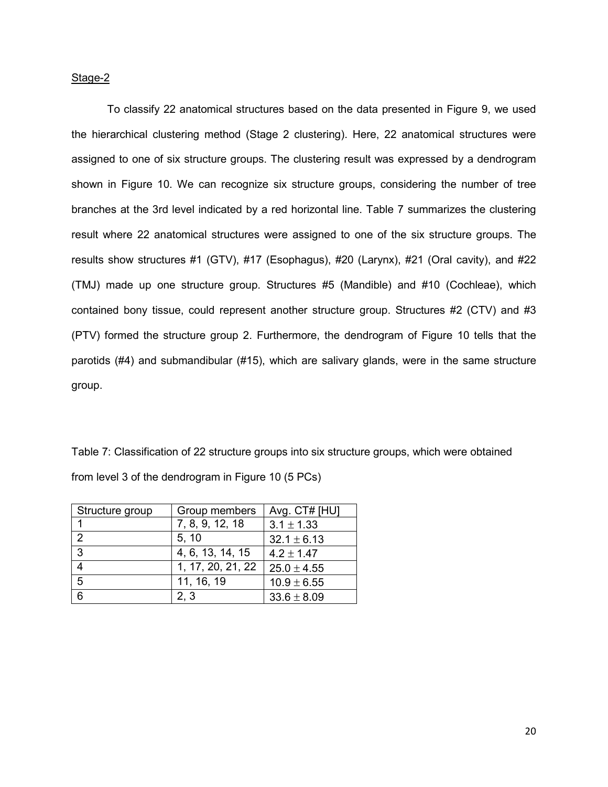### Stage-2

To classify 22 anatomical structures based on the data presented in Figure 9, we used the hierarchical clustering method (Stage 2 clustering). Here, 22 anatomical structures were assigned to one of six structure groups. The clustering result was expressed by a dendrogram shown in Figure 10. We can recognize six structure groups, considering the number of tree branches at the 3rd level indicated by a red horizontal line. Table 7 summarizes the clustering result where 22 anatomical structures were assigned to one of the six structure groups. The results show structures #1 (GTV), #17 (Esophagus), #20 (Larynx), #21 (Oral cavity), and #22 (TMJ) made up one structure group. Structures #5 (Mandible) and #10 (Cochleae), which contained bony tissue, could represent another structure group. Structures #2 (CTV) and #3 (PTV) formed the structure group 2. Furthermore, the dendrogram of Figure 10 tells that the parotids (#4) and submandibular (#15), which are salivary glands, were in the same structure group.

Table 7: Classification of 22 structure groups into six structure groups, which were obtained from level 3 of the dendrogram in Figure 10 (5 PCs)

| Structure group | Group members     | Avg. CT# [HU]   |
|-----------------|-------------------|-----------------|
|                 | 7, 8, 9, 12, 18   | $3.1 \pm 1.33$  |
| $\overline{2}$  | 5, 10             | $32.1 \pm 6.13$ |
| 3               | 4, 6, 13, 14, 15  | $4.2 \pm 1.47$  |
|                 | 1, 17, 20, 21, 22 | $25.0 \pm 4.55$ |
| 5               | 11, 16, 19        | $10.9 \pm 6.55$ |
| 6               | 2.3               | $33.6 \pm 8.09$ |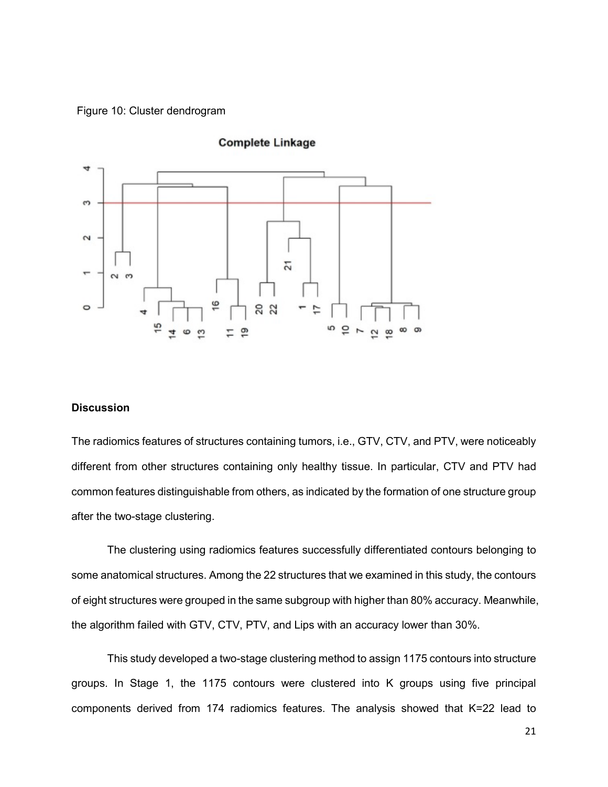#### Figure 10: Cluster dendrogram



### **Complete Linkage**

#### **Discussion**

The radiomics features of structures containing tumors, i.e., GTV, CTV, and PTV, were noticeably different from other structures containing only healthy tissue. In particular, CTV and PTV had common features distinguishable from others, as indicated by the formation of one structure group after the two-stage clustering.

The clustering using radiomics features successfully differentiated contours belonging to some anatomical structures. Among the 22 structures that we examined in this study, the contours of eight structures were grouped in the same subgroup with higher than 80% accuracy. Meanwhile, the algorithm failed with GTV, CTV, PTV, and Lips with an accuracy lower than 30%.

This study developed a two-stage clustering method to assign 1175 contours into structure groups. In Stage 1, the 1175 contours were clustered into K groups using five principal components derived from 174 radiomics features. The analysis showed that K=22 lead to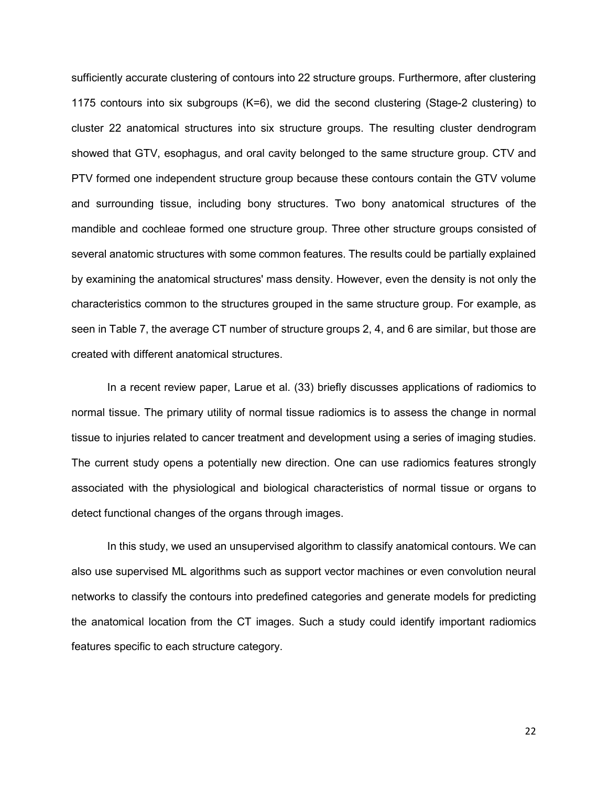sufficiently accurate clustering of contours into 22 structure groups. Furthermore, after clustering 1175 contours into six subgroups (K=6), we did the second clustering (Stage-2 clustering) to cluster 22 anatomical structures into six structure groups. The resulting cluster dendrogram showed that GTV, esophagus, and oral cavity belonged to the same structure group. CTV and PTV formed one independent structure group because these contours contain the GTV volume and surrounding tissue, including bony structures. Two bony anatomical structures of the mandible and cochleae formed one structure group. Three other structure groups consisted of several anatomic structures with some common features. The results could be partially explained by examining the anatomical structures' mass density. However, even the density is not only the characteristics common to the structures grouped in the same structure group. For example, as seen in Table 7, the average CT number of structure groups 2, 4, and 6 are similar, but those are created with different anatomical structures.

In a recent review paper, Larue et al. (33) briefly discusses applications of radiomics to normal tissue. The primary utility of normal tissue radiomics is to assess the change in normal tissue to injuries related to cancer treatment and development using a series of imaging studies. The current study opens a potentially new direction. One can use radiomics features strongly associated with the physiological and biological characteristics of normal tissue or organs to detect functional changes of the organs through images.

In this study, we used an unsupervised algorithm to classify anatomical contours. We can also use supervised ML algorithms such as support vector machines or even convolution neural networks to classify the contours into predefined categories and generate models for predicting the anatomical location from the CT images. Such a study could identify important radiomics features specific to each structure category.

22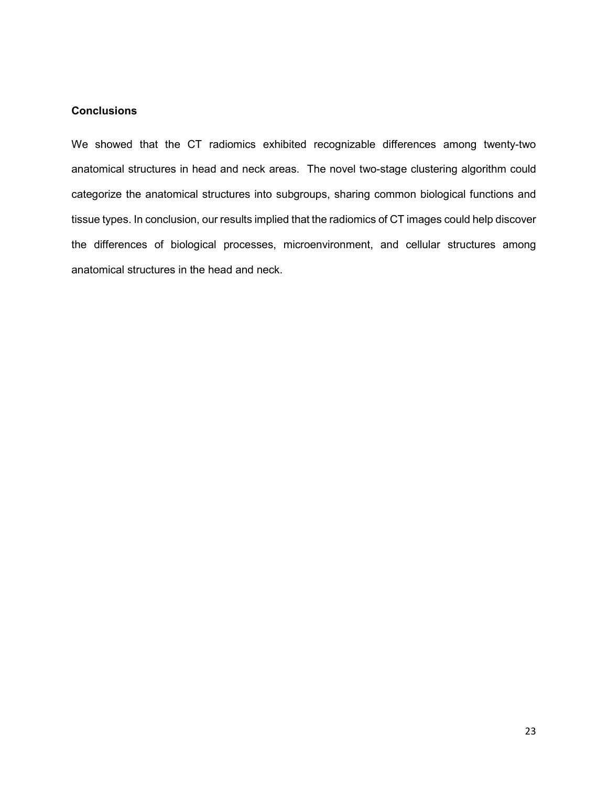## **Conclusions**

We showed that the CT radiomics exhibited recognizable differences among twenty-two anatomical structures in head and neck areas. The novel two-stage clustering algorithm could categorize the anatomical structures into subgroups, sharing common biological functions and tissue types. In conclusion, our results implied that the radiomics of CT images could help discover the differences of biological processes, microenvironment, and cellular structures among anatomical structures in the head and neck.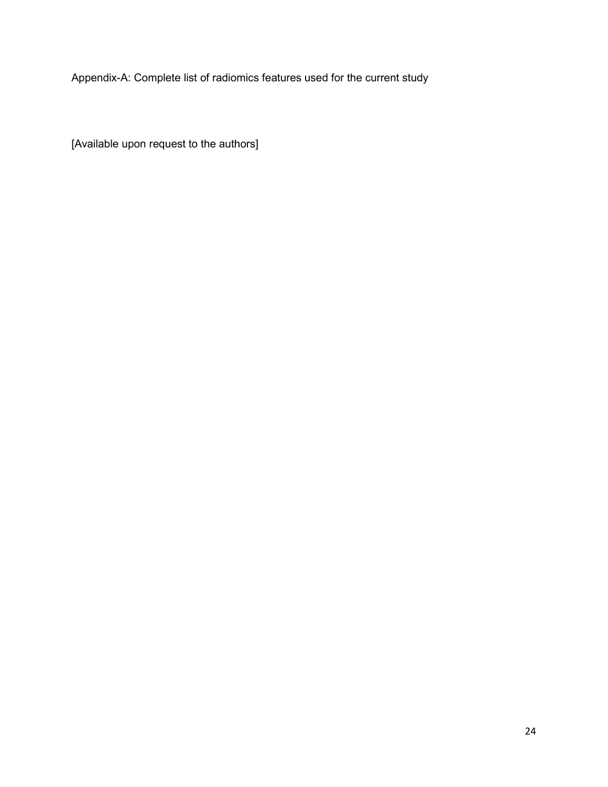Appendix-A: Complete list of radiomics features used for the current study

[Available upon request to the authors]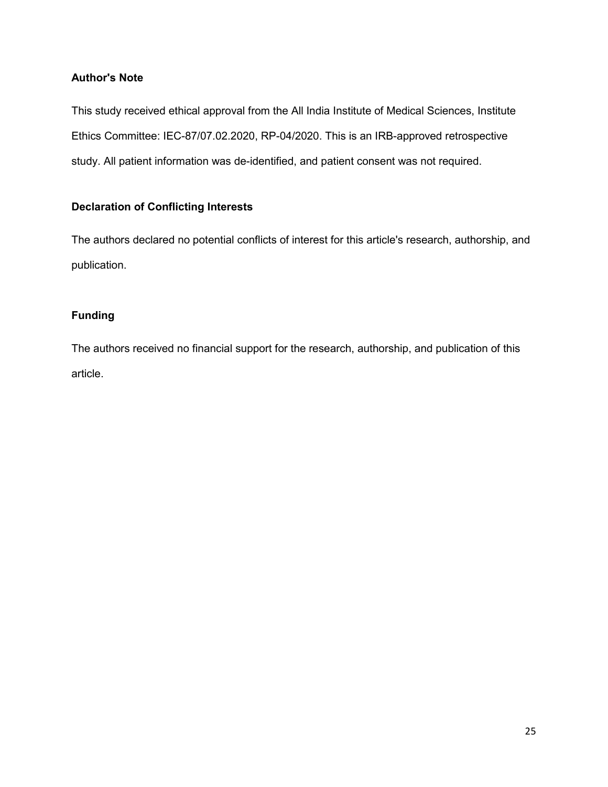## **Author's Note**

This study received ethical approval from the All India Institute of Medical Sciences, Institute Ethics Committee: IEC-87/07.02.2020, RP-04/2020. This is an IRB-approved retrospective study. All patient information was de-identified, and patient consent was not required.

# **Declaration of Conflicting Interests**

The authors declared no potential conflicts of interest for this article's research, authorship, and publication.

# **Funding**

The authors received no financial support for the research, authorship, and publication of this article.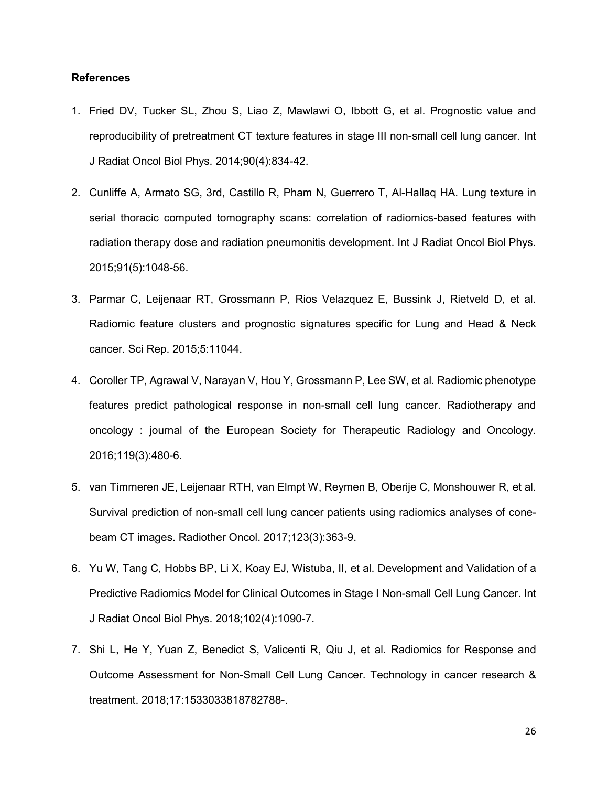### **References**

- 1. Fried DV, Tucker SL, Zhou S, Liao Z, Mawlawi O, Ibbott G, et al. Prognostic value and reproducibility of pretreatment CT texture features in stage III non-small cell lung cancer. Int J Radiat Oncol Biol Phys. 2014;90(4):834-42.
- 2. Cunliffe A, Armato SG, 3rd, Castillo R, Pham N, Guerrero T, Al-Hallaq HA. Lung texture in serial thoracic computed tomography scans: correlation of radiomics-based features with radiation therapy dose and radiation pneumonitis development. Int J Radiat Oncol Biol Phys. 2015;91(5):1048-56.
- 3. Parmar C, Leijenaar RT, Grossmann P, Rios Velazquez E, Bussink J, Rietveld D, et al. Radiomic feature clusters and prognostic signatures specific for Lung and Head & Neck cancer. Sci Rep. 2015;5:11044.
- 4. Coroller TP, Agrawal V, Narayan V, Hou Y, Grossmann P, Lee SW, et al. Radiomic phenotype features predict pathological response in non-small cell lung cancer. Radiotherapy and oncology : journal of the European Society for Therapeutic Radiology and Oncology. 2016;119(3):480-6.
- 5. van Timmeren JE, Leijenaar RTH, van Elmpt W, Reymen B, Oberije C, Monshouwer R, et al. Survival prediction of non-small cell lung cancer patients using radiomics analyses of conebeam CT images. Radiother Oncol. 2017;123(3):363-9.
- 6. Yu W, Tang C, Hobbs BP, Li X, Koay EJ, Wistuba, II, et al. Development and Validation of a Predictive Radiomics Model for Clinical Outcomes in Stage I Non-small Cell Lung Cancer. Int J Radiat Oncol Biol Phys. 2018;102(4):1090-7.
- 7. Shi L, He Y, Yuan Z, Benedict S, Valicenti R, Qiu J, et al. Radiomics for Response and Outcome Assessment for Non-Small Cell Lung Cancer. Technology in cancer research & treatment. 2018;17:1533033818782788-.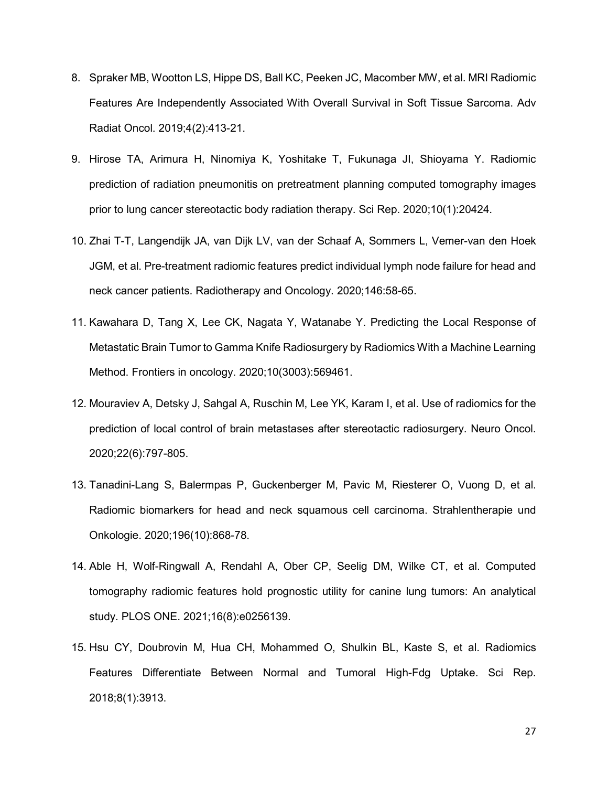- 8. Spraker MB, Wootton LS, Hippe DS, Ball KC, Peeken JC, Macomber MW, et al. MRI Radiomic Features Are Independently Associated With Overall Survival in Soft Tissue Sarcoma. Adv Radiat Oncol. 2019;4(2):413-21.
- 9. Hirose TA, Arimura H, Ninomiya K, Yoshitake T, Fukunaga JI, Shioyama Y. Radiomic prediction of radiation pneumonitis on pretreatment planning computed tomography images prior to lung cancer stereotactic body radiation therapy. Sci Rep. 2020;10(1):20424.
- 10. Zhai T-T, Langendijk JA, van Dijk LV, van der Schaaf A, Sommers L, Vemer-van den Hoek JGM, et al. Pre-treatment radiomic features predict individual lymph node failure for head and neck cancer patients. Radiotherapy and Oncology. 2020;146:58-65.
- 11. Kawahara D, Tang X, Lee CK, Nagata Y, Watanabe Y. Predicting the Local Response of Metastatic Brain Tumor to Gamma Knife Radiosurgery by Radiomics With a Machine Learning Method. Frontiers in oncology. 2020;10(3003):569461.
- 12. Mouraviev A, Detsky J, Sahgal A, Ruschin M, Lee YK, Karam I, et al. Use of radiomics for the prediction of local control of brain metastases after stereotactic radiosurgery. Neuro Oncol. 2020;22(6):797-805.
- 13. Tanadini-Lang S, Balermpas P, Guckenberger M, Pavic M, Riesterer O, Vuong D, et al. Radiomic biomarkers for head and neck squamous cell carcinoma. Strahlentherapie und Onkologie. 2020;196(10):868-78.
- 14. Able H, Wolf-Ringwall A, Rendahl A, Ober CP, Seelig DM, Wilke CT, et al. Computed tomography radiomic features hold prognostic utility for canine lung tumors: An analytical study. PLOS ONE. 2021;16(8):e0256139.
- 15. Hsu CY, Doubrovin M, Hua CH, Mohammed O, Shulkin BL, Kaste S, et al. Radiomics Features Differentiate Between Normal and Tumoral High-Fdg Uptake. Sci Rep. 2018;8(1):3913.

27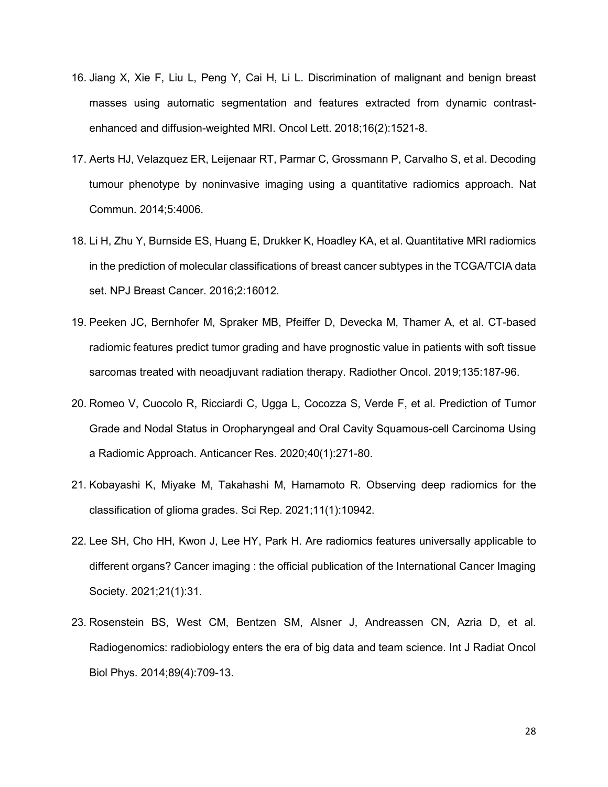- 16. Jiang X, Xie F, Liu L, Peng Y, Cai H, Li L. Discrimination of malignant and benign breast masses using automatic segmentation and features extracted from dynamic contrastenhanced and diffusion-weighted MRI. Oncol Lett. 2018;16(2):1521-8.
- 17. Aerts HJ, Velazquez ER, Leijenaar RT, Parmar C, Grossmann P, Carvalho S, et al. Decoding tumour phenotype by noninvasive imaging using a quantitative radiomics approach. Nat Commun. 2014;5:4006.
- 18. Li H, Zhu Y, Burnside ES, Huang E, Drukker K, Hoadley KA, et al. Quantitative MRI radiomics in the prediction of molecular classifications of breast cancer subtypes in the TCGA/TCIA data set. NPJ Breast Cancer. 2016;2:16012.
- 19. Peeken JC, Bernhofer M, Spraker MB, Pfeiffer D, Devecka M, Thamer A, et al. CT-based radiomic features predict tumor grading and have prognostic value in patients with soft tissue sarcomas treated with neoadjuvant radiation therapy. Radiother Oncol. 2019;135:187-96.
- 20. Romeo V, Cuocolo R, Ricciardi C, Ugga L, Cocozza S, Verde F, et al. Prediction of Tumor Grade and Nodal Status in Oropharyngeal and Oral Cavity Squamous-cell Carcinoma Using a Radiomic Approach. Anticancer Res. 2020;40(1):271-80.
- 21. Kobayashi K, Miyake M, Takahashi M, Hamamoto R. Observing deep radiomics for the classification of glioma grades. Sci Rep. 2021;11(1):10942.
- 22. Lee SH, Cho HH, Kwon J, Lee HY, Park H. Are radiomics features universally applicable to different organs? Cancer imaging : the official publication of the International Cancer Imaging Society. 2021;21(1):31.
- 23. Rosenstein BS, West CM, Bentzen SM, Alsner J, Andreassen CN, Azria D, et al. Radiogenomics: radiobiology enters the era of big data and team science. Int J Radiat Oncol Biol Phys. 2014;89(4):709-13.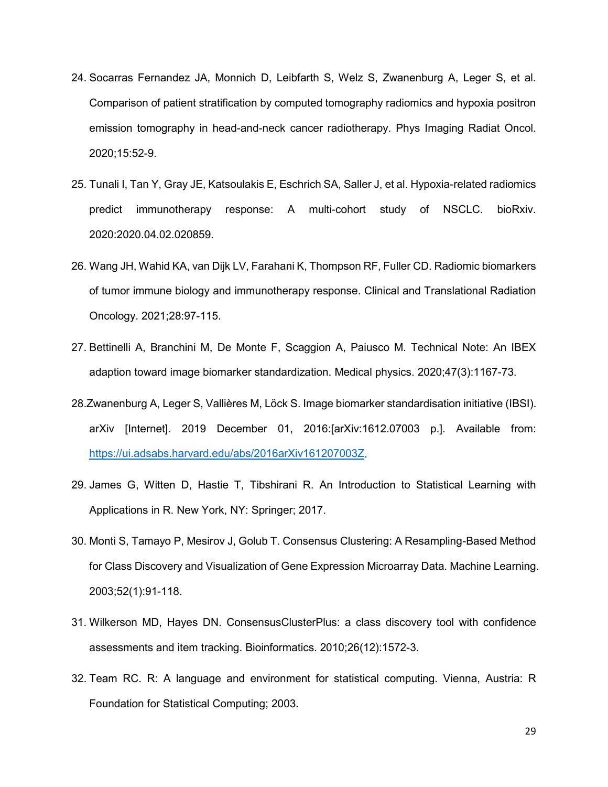- 24. Socarras Fernandez JA, Monnich D, Leibfarth S, Welz S, Zwanenburg A, Leger S, et al. Comparison of patient stratification by computed tomography radiomics and hypoxia positron emission tomography in head-and-neck cancer radiotherapy. Phys Imaging Radiat Oncol. 2020;15:52-9.
- 25. Tunali I, Tan Y, Gray JE, Katsoulakis E, Eschrich SA, Saller J, et al. Hypoxia-related radiomics predict immunotherapy response: A multi-cohort study of NSCLC. bioRxiv. 2020:2020.04.02.020859.
- 26. Wang JH, Wahid KA, van Dijk LV, Farahani K, Thompson RF, Fuller CD. Radiomic biomarkers of tumor immune biology and immunotherapy response. Clinical and Translational Radiation Oncology. 2021;28:97-115.
- 27. Bettinelli A, Branchini M, De Monte F, Scaggion A, Paiusco M. Technical Note: An IBEX adaption toward image biomarker standardization. Medical physics. 2020;47(3):1167-73.
- 28.Zwanenburg A, Leger S, Vallières M, Löck S. Image biomarker standardisation initiative (IBSI). arXiv [Internet]. 2019 December 01, 2016:[arXiv:1612.07003 p.]. Available from: [https://ui.adsabs.harvard.edu/abs/2016arXiv161207003Z.](https://ui.adsabs.harvard.edu/abs/2016arXiv161207003Z)
- 29. James G, Witten D, Hastie T, Tibshirani R. An Introduction to Statistical Learning with Applications in R. New York, NY: Springer; 2017.
- 30. Monti S, Tamayo P, Mesirov J, Golub T. Consensus Clustering: A Resampling-Based Method for Class Discovery and Visualization of Gene Expression Microarray Data. Machine Learning. 2003;52(1):91-118.
- 31. Wilkerson MD, Hayes DN. ConsensusClusterPlus: a class discovery tool with confidence assessments and item tracking. Bioinformatics. 2010;26(12):1572-3.
- 32. Team RC. R: A language and environment for statistical computing. Vienna, Austria: R Foundation for Statistical Computing; 2003.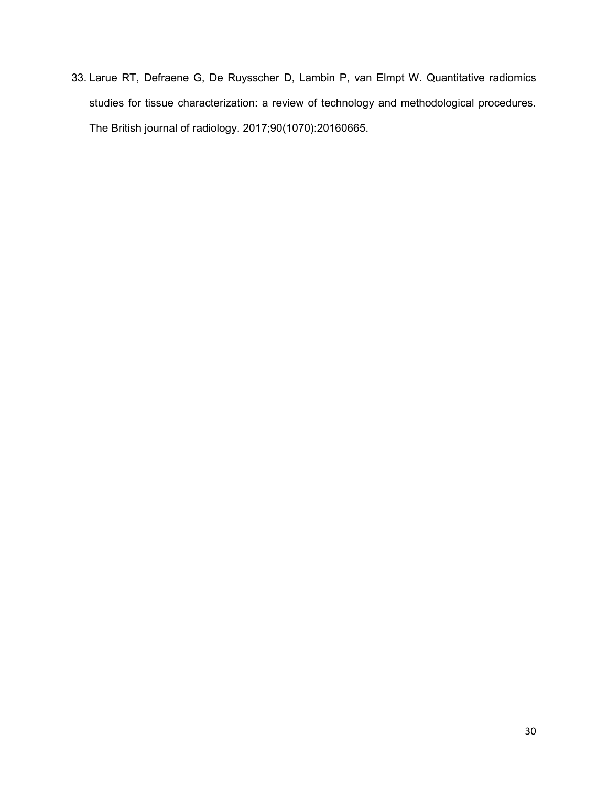33. Larue RT, Defraene G, De Ruysscher D, Lambin P, van Elmpt W. Quantitative radiomics studies for tissue characterization: a review of technology and methodological procedures. The British journal of radiology. 2017;90(1070):20160665.